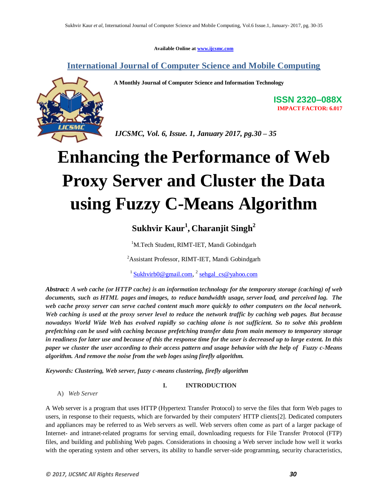**Available Online at www.ijcsmc.com**

**International Journal of Computer Science and Mobile Computing**

 **A Monthly Journal of Computer Science and Information Technology**



**ISSN 2320–088X IMPACT FACTOR: 6.017**

 *IJCSMC, Vol. 6, Issue. 1, January 2017, pg.30 – 35*

# **Enhancing the Performance of Web Proxy Server and Cluster the Data using Fuzzy C-Means Algorithm**

## **Sukhvir Kaur<sup>1</sup> , Charanjit Singh<sup>2</sup>**

<sup>1</sup>M.Tech Student, RIMT-IET, Mandi Gobindgarh

<sup>2</sup>Assistant Professor, RIMT-IET, Mandi Gobindgarh

<sup>1</sup> Sukhvirb0@gmail.com, <sup>2</sup> sehgal\_cs@yahoo.com

*Abstract: A web cache (or HTTP cache) is an information technology for the temporary storage (caching) of web documents, such as HTML pages and images, to reduce bandwidth usage, server load, and perceived lag. The web cache proxy server can serve cached content much more quickly to other computers on the local network. Web caching is used at the proxy server level to reduce the network traffic by caching web pages. But because nowadays World Wide Web has evolved rapidly so caching alone is not sufficient. So to solve this problem prefetching can be used with caching because prefetching transfer data from main memory to temporary storage in readiness for later use and because of this the response time for the user is decreased up to large extent. In this paper we cluster the user according to their access pattern and usage behavior with the help of Fuzzy c-Means algorithm. And remove the noise from the web loges using firefly algorithm.*

*Keywords: Clustering, Web server, fuzzy c-means clustering, firefly algorithm*

**I. INTRODUCTION**

A) *Web Server*

A Web server is a program that uses HTTP (Hypertext Transfer Protocol) to serve the files that form Web pages to users, in response to their requests, which are forwarded by their computers' HTTP clients[2]. Dedicated computers and appliances may be referred to as Web servers as well. Web servers often come as part of a larger package of Internet- and intranet-related programs for serving email, downloading requests for File Transfer Protocol (FTP) files, and building and publishing Web pages. Considerations in choosing a Web server include how well it works with the operating system and other servers, its ability to handle server-side programming, security characteristics,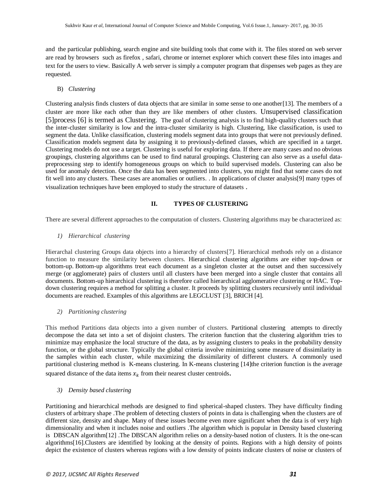and the particular publishing, search engine and site building tools that come with it. The files stored on web server are read by browsers such as firefox , safari, chrome or internet explorer which convert these files into images and text for the users to view. Basically A web server is simply a computer program that dispenses web pages as they are requested.

#### B) *Clustering*

Clustering analysis finds clusters of data objects that are similar in some sense to one another[13]. The members of a cluster are more like each other than they are like members of other clusters. Unsupervised classification [5]process [6] is termed as Clustering. The goal of clustering analysis is to find high-quality clusters such that the inter-cluster similarity is low and the intra-cluster similarity is high. Clustering, like classification, is used to segment the data. Unlike classification, clustering models segment data into groups that were not previously defined. Classification models segment data by assigning it to previously-defined classes, which are specified in a target. Clustering models do not use a target. Clustering is useful for exploring data. If there are many cases and no obvious groupings, clustering algorithms can be used to find natural groupings. Clustering can also serve as a useful datapreprocessing step to identify homogeneous groups on which to build supervised models. Clustering can also be used for anomaly detection. Once the data has been segmented into clusters, you might find that some cases do not fit well into any clusters. These cases are anomalies or outliers. . In applications of cluster analysis[9] many types of visualization techniques have been employed to study the structure of datasets .

#### **II. TYPES OF CLUSTERING**

There are several different approaches to the computation of clusters. Clustering algorithms may be characterized as:

#### *1) Hierarchical clustering*

Hierarchal clustering Groups data objects into a hierarchy of clusters[7]. Hierarchical methods rely on a distance function to measure the similarity between clusters. Hierarchical clustering algorithms are either top-down or bottom-up. Bottom-up algorithms treat each document as a singleton cluster at the outset and then successively merge (or agglomerate) pairs of clusters until all clusters have been merged into a single cluster that contains all documents. Bottom-up hierarchical clustering is therefore called hierarchical agglomerative clustering or HAC. Topdown clustering requires a method for splitting a cluster. It proceeds by splitting clusters recursively until individual documents are reached. Examples of this algorithms are LEGCLUST [3], BRICH [4].

#### *2) Partitioning clustering*

This method Partitions data objects into a given number of clusters. Partitional clustering attempts to directly decompose the data set into a set of disjoint clusters. The criterion function that the clustering algorithm tries to minimize may emphasize the local structure of the data, as by assigning clusters to peaks in the probability density function, or the global structure. Typically the global criteria involve minimizing some measure of dissimilarity in the samples within each cluster, while maximizing the dissimilarity of different clusters. A commonly used partitional clustering method is K-means clustering. In K-means clustering [14]the criterion function is the average

squared distance of the data items  $x_k$  from their nearest cluster centroids.

#### *3) Density based clustering*

Partitioning and hierarchical methods are designed to find spherical-shaped clusters. They have difficulty finding clusters of arbitrary shape .The problem of detecting clusters of points in data is challenging when the clusters are of different size, density and shape. Many of these issues become even more significant when the data is of very high dimensionality and when it includes noise and outliers .The algorithm which is popular in Density based clustering is DBSCAN algorithm[12] .The DBSCAN algorithm relies on a density-based notion of clusters. It is the one-scan algorithms[16].Clusters are identified by looking at the density of points. Regions with a high density of points depict the existence of clusters whereas regions with a low density of points indicate clusters of noise or clusters of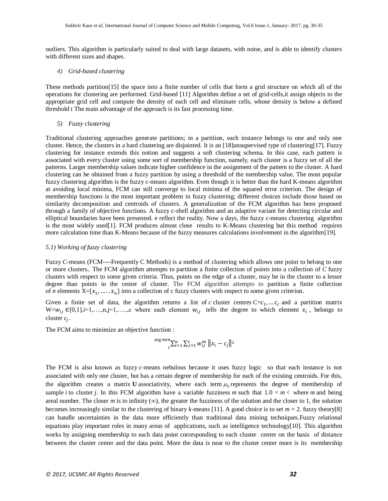outliers. This algorithm is particularly suited to deal with large datasets, with noise, and is able to identify clusters with different sizes and shapes.

#### *4) Grid-based clustering*

These methods partition[15] the space into a finite number of cells that form a grid structure on which all of the operations for clustering are performed. Grid-based [11] Algorithm define a set of grid-cells,it assign objects to the appropriate grid cell and compute the density of each cell and eliminate cells, whose density is below a defined threshold t The main advantage of the approach is its fast processing time.

#### *5) Fuzzy clustering*

Traditional clustering approaches generate partitions; in a partition, each instance belongs to one and only one cluster. Hence, the clusters in a hard clustering are disjointed. It is an [18]unsupervised type of clustering[17]. Fuzzy clustering for instance extends this notion and suggests a soft clustering schema. In this case, each pattern is associated with every cluster using some sort of membership function, namely, each cluster is a fuzzy set of all the patterns. Larger membership values indicate higher confidence in the assignment of the pattern to the cluster. A hard clustering can be obtained from a fuzzy partition by using a threshold of the membership value. The most popular fuzzy clustering algorithm is the fuzzy c-means algorithm. Even though it is better than the hard K-means algorithm at avoiding local minima, FCM can still converge to local minima of the squared error criterion. The design of membership functions is the most important problem in fuzzy clustering; different choices include those based on similarity decomposition and centroids of clusters. A generalization of the FCM algorithm has been proposed through a family of objective functions. A fuzzy c-shell algorithm and an adaptive variant for detecting circular and elliptical boundaries have been presented. e reflect the reality. Now a days, the fuzzy c-means clustering algorithm is the most widely used[1]. FCM produces almost close results to K-Means clustering but this method requires more calculation time than K-Means because of the fuzzy measures calculations involvement in the algorithm[19].

#### *5.1) Working of fuzzy clustering*

Fuzzy *C*-means (FCM----Frequently C Methods) is a method of clustering which allows one point to belong to one or more clusters.. The FCM algorithm attempts to partition a finite collection of points into a collection of *C* fuzzy clusters with respect to some given criteria. Thus, points on the edge of a cluster, may be in the cluster to a lesser degree than points in the center of cluster. The FCM algorithm attempts to partition a finite collection of *n* elements  $X = \{x_1, \ldots, x_n\}$  into a collection of c fuzzy clusters with respect to some given criterion.

Given a finite set of data, the algorithm returns a list of *c* cluster centres  $C = c_1, \ldots, c_c$  and a partition matrix  $W=w_{ij} \in [0,1], i=1,\ldots,n, j=1,\ldots,c$  where each element  $w_{ij}$  tells the degree to which element  $x_i$ , belongs to cluster  $c_i$ .

The FCM aims to minimize an objective function :

$$
\frac{\arg min_{c} \sum_{i=1}^{n} \sum_{j=1}^{c} w_{ij}^{m}}{\sum_{i=1}^{n} |x_{i} - c_{j}|^{2}}
$$

The FCM is also known as fuzzy *c*-means nebulous because it uses fuzzy logic so that each instance is not associated with only one cluster, but has a certain degree of membership for each of the existing centroids. For this, the algorithm creates a matrix **U** associativity, where each term *μij* represents the degree of membership of sample *i* to cluster *j*. In this FCM algorithm have a variable fuzziness *m* such that  $1.0 < m <$  where *m* and being areal number. The closer *m* is to infinity  $(\infty)$ , the greater the fuzziness of the solution and the closer to 1, the solution becomes increasingly similar to the clustering of binary *k*-means [11]. A good choice is to set  $m = 2$ . fuzzy theory[8] can handle uncertainties in the data more efficiently than traditional data mining techniques.Fuzzy relational equations play important roles in many areas of applications, such as intelligence technology[10]. This algorithm works by assigning membership to each data point corresponding to each cluster center on the basis of distance between the cluster center and the data point. More the data is near to the cluster center more is its membership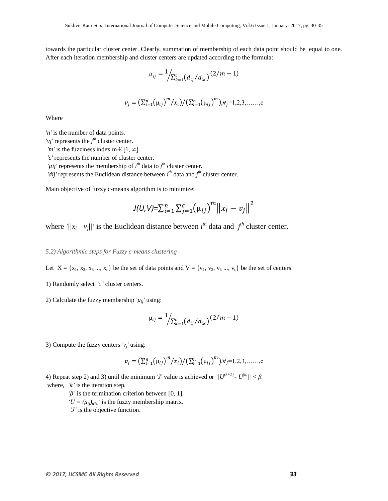towards the particular cluster center. Clearly, summation of membership of each data point should be equal to one. After each iteration membership and cluster centers are updated according to the formula:

$$
\mu_{ij} = \frac{1}{\sum_{k=1}^{c} (d_{ij}/d_{ik})} (2/m - 1)
$$
  

$$
v_j = \left(\sum_{i=1}^{n} (\mu_{ij})^m / x_i\right) / \left(\sum_{i=1}^{n} (\mu_{ij})^m\right), \forall j = 1, 2, 3, \dots \dots, c
$$

Where

*'n'* is the number of data points.

'*vj*' represents the  $j<sup>th</sup>$  cluster center.

*'m'* is the fuzziness index m  $\in$  [1,  $\infty$ ].

*'c'* represents the number of cluster center.

' $\mu$ *ij'* represents the membership of *i*<sup>th</sup> data to *j*<sup>th</sup> cluster center.

*'dij'* represents the Euclidean distance between  $i^{th}$  data and  $j^{th}$  cluster center.

Main objective of fuzzy c-means algorithm is to minimize:

$$
J(U,V) = \sum_{i=1}^{n} \sum_{j=1}^{c} (\mu_{ij})^{m} ||x_i - v_j||^2
$$

where  $\frac{1}{i}$   $|x_i - y_j|$  is the Euclidean distance between  $i^{th}$  data and  $j^{th}$  cluster center.

#### *5.2) Algorithmic steps for Fuzzy c-means clustering*

Let  $X = \{x_1, x_2, x_3, ..., x_n\}$  be the set of data points and  $V = \{v_1, v_2, v_3, ..., v_c\}$  be the set of centers.

1) Randomly select *'c'* cluster centers.

2) Calculate the fuzzy membership  $'\mu_{ii'}$  using:

$$
\mu_{ij} = \frac{1}{\sum_{k=1}^{c} (d_{ij}/d_{ik})} (2/m - 1)
$$

3) Compute the fuzzy centers  $v_j$ ' using:

$$
v_j = (\sum_{i=1}^n (\mu_{ij})^m / x_i) / (\sum_{i=1}^n (\mu_{ij})^m), v_j = 1, 2, 3, \dots, c
$$

4) Repeat step 2) and 3) until the minimum *'J'* value is achieved or  $||U^{(k+1)} – U^{(k)}|| < \beta$ . where, *'k'* is the iteration step.

*'β'* is the termination criterion between [0, 1].

 $'U = (\mu_{ij})_{n^*c}$ ' is the fuzzy membership matrix.

*'J'* is the objective function.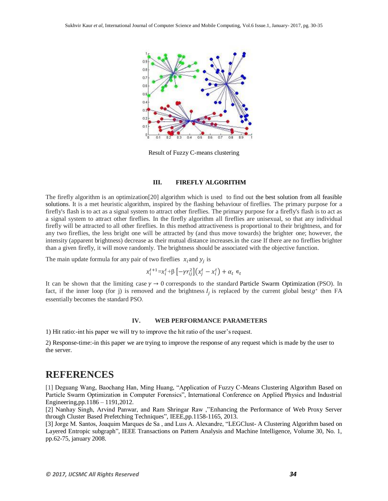

Result of Fuzzy C-means clustering

#### **III. FIREFLY ALGORITHM**

The firefly algorithm is an optimization[20] algorithm which is used to find out the best solution from all feasible solutions. It is a met heuristic algorithm, inspired by the flashing behaviour of fireflies. The primary purpose for a firefly's flash is to act as a signal system to attract other fireflies. The primary purpose for a firefly's flash is to act as a signal system to attract other fireflies. In the firefly algorithm all fireflies are unisexual, so that any individual firefly will be attracted to all other fireflies. In this method attractiveness is proportional to their brightness, and for any two fireflies, the less bright one will be attracted by (and thus move towards) the brighter one; however, the intensity (apparent brightness) decrease as their mutual distance increases.in the case If there are no fireflies brighter than a given firefly, it will move randomly. The brightness should be associated with the objective function.

The main update formula for any pair of two fireflies  $x_i$  and  $y_i$  is

$$
x_i^{t+1} = x_i^t + \beta \left[ -\gamma r_{ij}^2 \right] \left( x_i^t - x_i^t \right) + \alpha_t \in_t
$$

It can be shown that the limiting case  $\gamma \to 0$  corresponds to the standard Particle Swarm Optimization (PSO). In fact, if the inner loop (for j) is removed and the brightness  $I_i$  is replaced by the current global best $g^*$  then FA essentially becomes the standard PSO.

#### **IV. WEB PERFORMANCE PARAMETERS**

1) Hit ratio:-int his paper we will try to improve the hit ratio of the user's request.

2) Response-time:-in this paper we are trying to improve the response of any request which is made by the user to the server.

### **REFERENCES**

[1] Deguang Wang, Baochang Han, Ming Huang, "Application of Fuzzy C-Means Clustering Algorithm Based on Particle Swarm Optimization in Computer Forensics", International Conference on Applied Physics and Industrial Engineering,pp.1186 – 1191,2012.

[2] Nanhay Singh, Arvind Panwar, and Ram Shringar Raw ,"Enhancing the Performance of Web Proxy Server through Cluster Based Prefetching Techniques", IEEE,pp.1158-1165, 2013.

[3] Jorge M. Santos, Joaquim Marques de Sa , and Luıs A. Alexandre, "LEGClust- A Clustering Algorithm based on Layered Entropic subgraph", IEEE Transactions on Pattern Analysis and Machine Intelligence, Volume 30, No. 1, pp.62-75, january 2008.